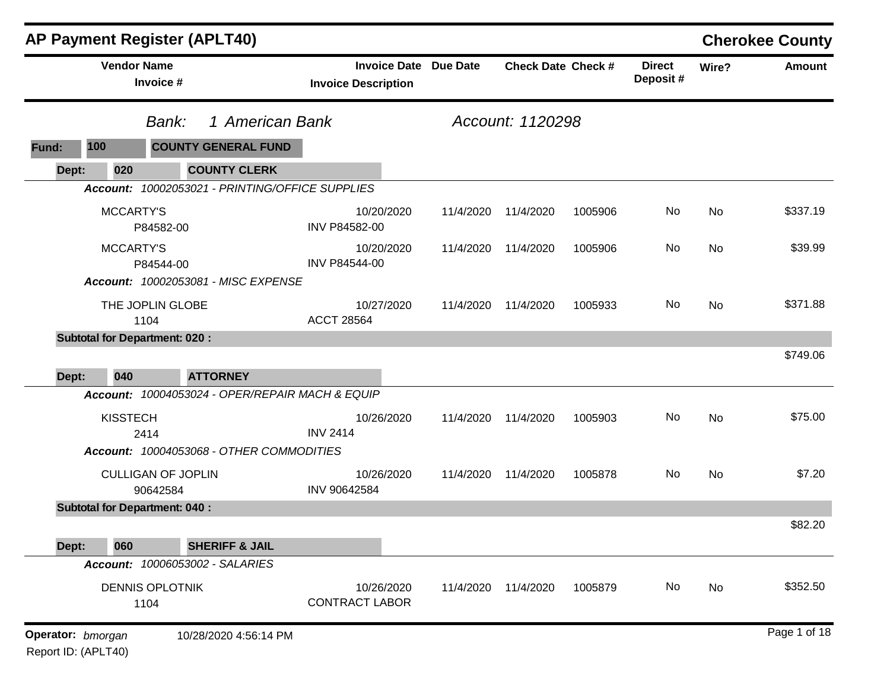|                                          |                                 | <b>AP Payment Register (APLT40)</b>             |                                                            |           |                           |         |                           |       | <b>Cherokee County</b> |
|------------------------------------------|---------------------------------|-------------------------------------------------|------------------------------------------------------------|-----------|---------------------------|---------|---------------------------|-------|------------------------|
|                                          | <b>Vendor Name</b><br>Invoice # |                                                 | <b>Invoice Date Due Date</b><br><b>Invoice Description</b> |           | <b>Check Date Check #</b> |         | <b>Direct</b><br>Deposit# | Wire? | <b>Amount</b>          |
|                                          |                                 | 1 American Bank<br>Bank:                        |                                                            |           | Account: 1120298          |         |                           |       |                        |
| 100<br>Fund:                             |                                 | <b>COUNTY GENERAL FUND</b>                      |                                                            |           |                           |         |                           |       |                        |
| Dept:                                    | 020                             | <b>COUNTY CLERK</b>                             |                                                            |           |                           |         |                           |       |                        |
|                                          |                                 | Account: 10002053021 - PRINTING/OFFICE SUPPLIES |                                                            |           |                           |         |                           |       |                        |
|                                          | <b>MCCARTY'S</b>                | P84582-00                                       | 10/20/2020<br>INV P84582-00                                | 11/4/2020 | 11/4/2020                 | 1005906 | No                        | No    | \$337.19               |
|                                          | MCCARTY'S                       | P84544-00                                       | 10/20/2020<br>INV P84544-00                                | 11/4/2020 | 11/4/2020                 | 1005906 | No                        | No    | \$39.99                |
|                                          |                                 | Account: 10002053081 - MISC EXPENSE             |                                                            |           |                           |         |                           |       |                        |
|                                          | 1104                            | THE JOPLIN GLOBE                                | 10/27/2020<br><b>ACCT 28564</b>                            | 11/4/2020 | 11/4/2020                 | 1005933 | No                        | No    | \$371.88               |
| <b>Subtotal for Department: 020:</b>     |                                 |                                                 |                                                            |           |                           |         |                           |       |                        |
| Dept:                                    | 040                             | <b>ATTORNEY</b>                                 |                                                            |           |                           |         |                           |       | \$749.06               |
|                                          |                                 | Account: 10004053024 - OPER/REPAIR MACH & EQUIP |                                                            |           |                           |         |                           |       |                        |
|                                          | <b>KISSTECH</b>                 |                                                 | 10/26/2020                                                 | 11/4/2020 | 11/4/2020                 | 1005903 | No                        | No    | \$75.00                |
|                                          | 2414                            |                                                 | <b>INV 2414</b>                                            |           |                           |         |                           |       |                        |
|                                          |                                 | Account: 10004053068 - OTHER COMMODITIES        |                                                            |           |                           |         |                           |       |                        |
|                                          | 90642584                        | <b>CULLIGAN OF JOPLIN</b>                       | 10/26/2020<br>INV 90642584                                 | 11/4/2020 | 11/4/2020                 | 1005878 | No                        | No    | \$7.20                 |
| <b>Subtotal for Department: 040:</b>     |                                 |                                                 |                                                            |           |                           |         |                           |       |                        |
|                                          |                                 |                                                 |                                                            |           |                           |         |                           |       | \$82.20                |
| Dept:                                    | 060                             | <b>SHERIFF &amp; JAIL</b>                       |                                                            |           |                           |         |                           |       |                        |
|                                          |                                 | Account: 10006053002 - SALARIES                 |                                                            |           |                           |         |                           |       |                        |
|                                          | 1104                            | <b>DENNIS OPLOTNIK</b>                          | 10/26/2020<br><b>CONTRACT LABOR</b>                        |           | 11/4/2020 11/4/2020       | 1005879 | No                        | No    | \$352.50               |
| Operator: bmorgan<br>Report ID: (APLT40) |                                 | 10/28/2020 4:56:14 PM                           |                                                            |           |                           |         |                           |       | Page 1 of 18           |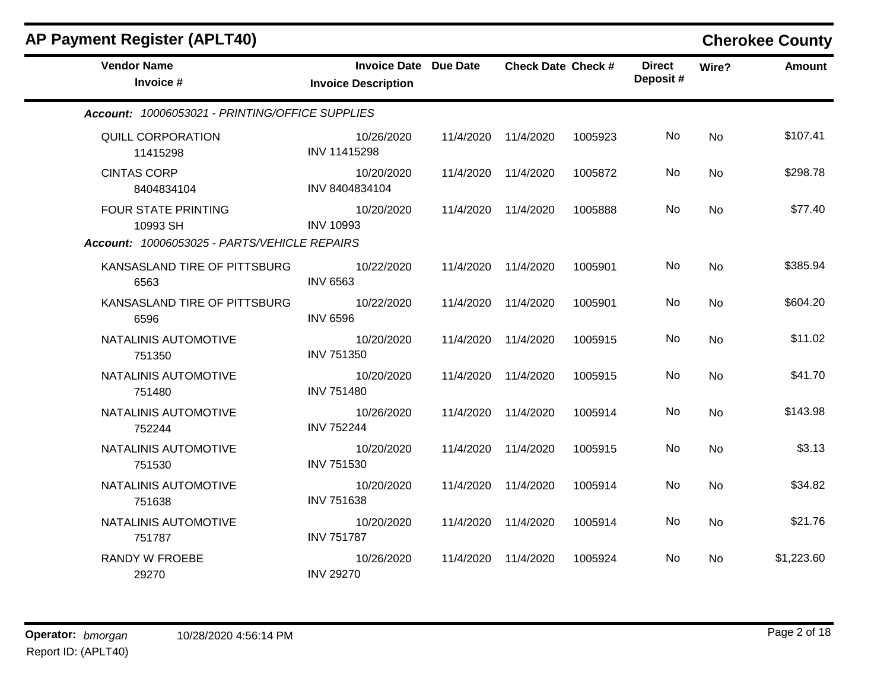| <b>AP Payment Register (APLT40)</b>             |                                                            |           |                           |         |                           |           | <b>Cherokee County</b> |
|-------------------------------------------------|------------------------------------------------------------|-----------|---------------------------|---------|---------------------------|-----------|------------------------|
| <b>Vendor Name</b><br>Invoice #                 | <b>Invoice Date Due Date</b><br><b>Invoice Description</b> |           | <b>Check Date Check #</b> |         | <b>Direct</b><br>Deposit# | Wire?     | <b>Amount</b>          |
| Account: 10006053021 - PRINTING/OFFICE SUPPLIES |                                                            |           |                           |         |                           |           |                        |
| QUILL CORPORATION<br>11415298                   | 10/26/2020<br>INV 11415298                                 | 11/4/2020 | 11/4/2020                 | 1005923 | No.                       | No        | \$107.41               |
| <b>CINTAS CORP</b><br>8404834104                | 10/20/2020<br>INV 8404834104                               |           | 11/4/2020 11/4/2020       | 1005872 | No                        | No        | \$298.78               |
| <b>FOUR STATE PRINTING</b><br>10993 SH          | 10/20/2020<br><b>INV 10993</b>                             | 11/4/2020 | 11/4/2020                 | 1005888 | No                        | No        | \$77.40                |
| Account: 10006053025 - PARTS/VEHICLE REPAIRS    |                                                            |           |                           |         |                           |           |                        |
| KANSASLAND TIRE OF PITTSBURG<br>6563            | 10/22/2020<br><b>INV 6563</b>                              |           | 11/4/2020 11/4/2020       | 1005901 | No                        | No        | \$385.94               |
| KANSASLAND TIRE OF PITTSBURG<br>6596            | 10/22/2020<br><b>INV 6596</b>                              | 11/4/2020 | 11/4/2020                 | 1005901 | No                        | No        | \$604.20               |
| NATALINIS AUTOMOTIVE<br>751350                  | 10/20/2020<br><b>INV 751350</b>                            | 11/4/2020 | 11/4/2020                 | 1005915 | No.                       | No        | \$11.02                |
| NATALINIS AUTOMOTIVE<br>751480                  | 10/20/2020<br><b>INV 751480</b>                            | 11/4/2020 | 11/4/2020                 | 1005915 | No                        | <b>No</b> | \$41.70                |
| NATALINIS AUTOMOTIVE<br>752244                  | 10/26/2020<br><b>INV 752244</b>                            | 11/4/2020 | 11/4/2020                 | 1005914 | No.                       | No        | \$143.98               |
| NATALINIS AUTOMOTIVE<br>751530                  | 10/20/2020<br>INV 751530                                   | 11/4/2020 | 11/4/2020                 | 1005915 | No                        | <b>No</b> | \$3.13                 |
| NATALINIS AUTOMOTIVE<br>751638                  | 10/20/2020<br><b>INV 751638</b>                            |           | 11/4/2020 11/4/2020       | 1005914 | No                        | <b>No</b> | \$34.82                |
| NATALINIS AUTOMOTIVE<br>751787                  | 10/20/2020<br><b>INV 751787</b>                            | 11/4/2020 | 11/4/2020                 | 1005914 | No                        | <b>No</b> | \$21.76                |
| <b>RANDY W FROEBE</b><br>29270                  | 10/26/2020<br><b>INV 29270</b>                             | 11/4/2020 | 11/4/2020                 | 1005924 | No                        | No.       | \$1,223.60             |

# Report ID: (APLT40)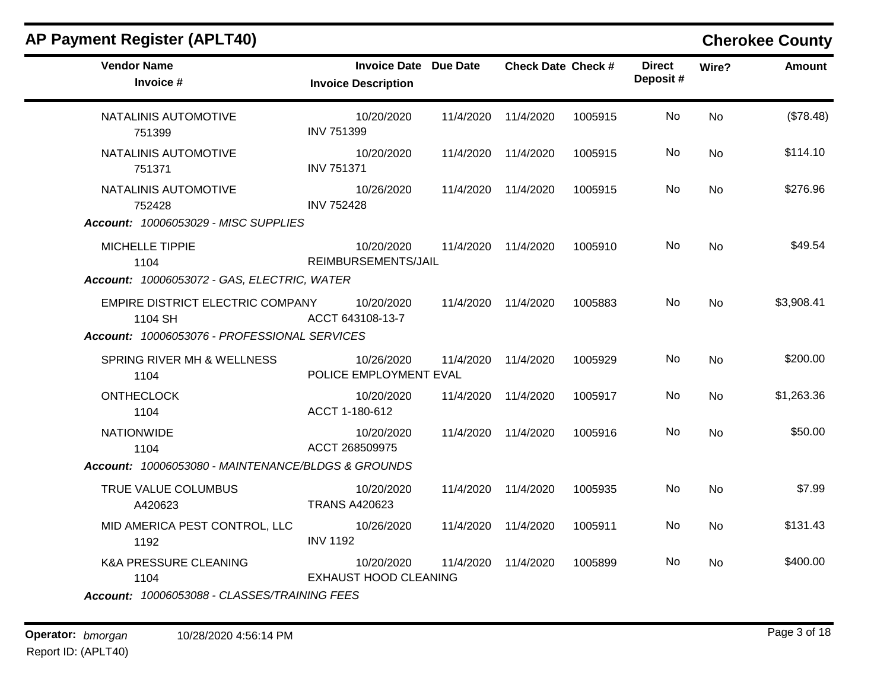| <b>AP Payment Register (APLT40)</b>                                                         |                                                            |                           |         |                           |           | <b>Cherokee County</b> |
|---------------------------------------------------------------------------------------------|------------------------------------------------------------|---------------------------|---------|---------------------------|-----------|------------------------|
| <b>Vendor Name</b><br>Invoice #                                                             | <b>Invoice Date Due Date</b><br><b>Invoice Description</b> | <b>Check Date Check #</b> |         | <b>Direct</b><br>Deposit# | Wire?     | <b>Amount</b>          |
| NATALINIS AUTOMOTIVE<br>751399                                                              | 10/20/2020<br><b>INV 751399</b>                            | 11/4/2020 11/4/2020       | 1005915 | No.                       | No        | (\$78.48)              |
| NATALINIS AUTOMOTIVE<br>751371                                                              | 10/20/2020<br><b>INV 751371</b>                            | 11/4/2020 11/4/2020       | 1005915 | No.                       | No        | \$114.10               |
| NATALINIS AUTOMOTIVE<br>752428<br><b>Account: 10006053029 - MISC SUPPLIES</b>               | 10/26/2020<br><b>INV 752428</b>                            | 11/4/2020 11/4/2020       | 1005915 | No.                       | No        | \$276.96               |
| MICHELLE TIPPIE<br>1104<br>Account: 10006053072 - GAS, ELECTRIC, WATER                      | 10/20/2020<br>REIMBURSEMENTS/JAIL                          | 11/4/2020 11/4/2020       | 1005910 | No.                       | No        | \$49.54                |
| EMPIRE DISTRICT ELECTRIC COMPANY<br>1104 SH<br>Account: 10006053076 - PROFESSIONAL SERVICES | 10/20/2020<br>ACCT 643108-13-7                             | 11/4/2020 11/4/2020       | 1005883 | No.                       | No.       | \$3,908.41             |
| SPRING RIVER MH & WELLNESS<br>1104                                                          | 10/26/2020<br>POLICE EMPLOYMENT EVAL                       | 11/4/2020 11/4/2020       | 1005929 | No.                       | <b>No</b> | \$200.00               |
| <b>ONTHECLOCK</b><br>1104                                                                   | 10/20/2020<br>ACCT 1-180-612                               | 11/4/2020 11/4/2020       | 1005917 | No.                       | No        | \$1,263.36             |
| <b>NATIONWIDE</b><br>1104                                                                   | 10/20/2020<br>ACCT 268509975                               | 11/4/2020 11/4/2020       | 1005916 | No.                       | <b>No</b> | \$50.00                |
| <b>Account:</b> 10006053080 - MAINTENANCE/BLDGS & GROUNDS                                   |                                                            |                           |         |                           |           |                        |
| TRUE VALUE COLUMBUS<br>A420623                                                              | 10/20/2020<br><b>TRANS A420623</b>                         | 11/4/2020 11/4/2020       | 1005935 | No.                       | No        | \$7.99                 |
| MID AMERICA PEST CONTROL, LLC<br>1192                                                       | 10/26/2020<br><b>INV 1192</b>                              | 11/4/2020 11/4/2020       | 1005911 | No.                       | No        | \$131.43               |
| <b>K&amp;A PRESSURE CLEANING</b><br>1104                                                    | 10/20/2020<br><b>EXHAUST HOOD CLEANING</b>                 | 11/4/2020 11/4/2020       | 1005899 | No.                       | No        | \$400.00               |
| Account: 10006053088 - CLASSES/TRAINING FEES                                                |                                                            |                           |         |                           |           |                        |

Report ID: (APLT40)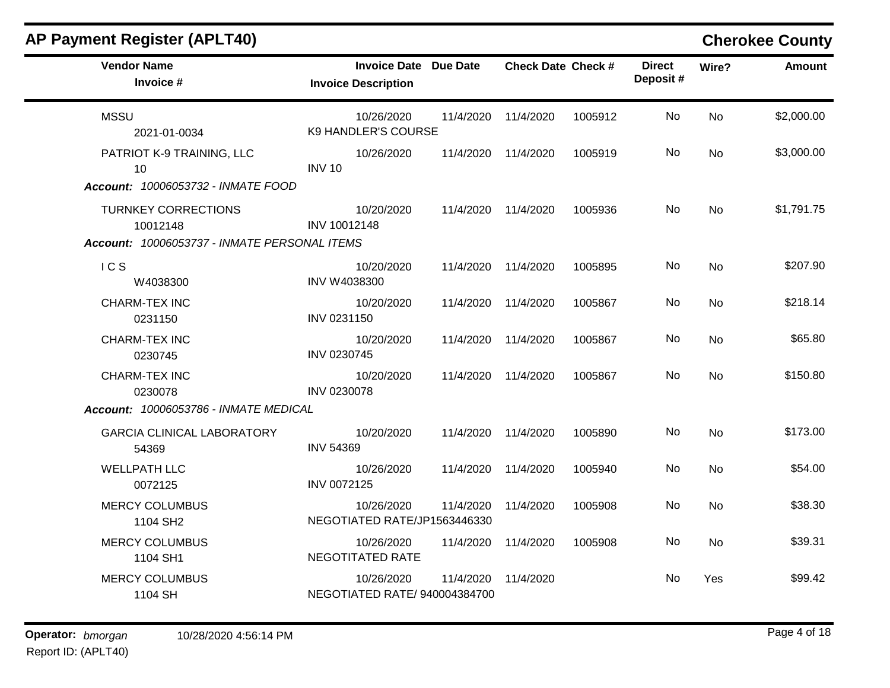| <b>AP Payment Register (APLT40)</b>          |                                                            |           |                           |         |                           |           | <b>Cherokee County</b> |
|----------------------------------------------|------------------------------------------------------------|-----------|---------------------------|---------|---------------------------|-----------|------------------------|
| <b>Vendor Name</b><br>Invoice #              | <b>Invoice Date Due Date</b><br><b>Invoice Description</b> |           | <b>Check Date Check #</b> |         | <b>Direct</b><br>Deposit# | Wire?     | Amount                 |
| <b>MSSU</b><br>2021-01-0034                  | 10/26/2020<br>K9 HANDLER'S COURSE                          |           | 11/4/2020 11/4/2020       | 1005912 | No                        | <b>No</b> | \$2,000.00             |
| PATRIOT K-9 TRAINING, LLC<br>10              | 10/26/2020<br><b>INV 10</b>                                | 11/4/2020 | 11/4/2020                 | 1005919 | No                        | No        | \$3,000.00             |
| <b>Account: 10006053732 - INMATE FOOD</b>    |                                                            |           |                           |         |                           |           |                        |
| <b>TURNKEY CORRECTIONS</b><br>10012148       | 10/20/2020<br>INV 10012148                                 |           | 11/4/2020 11/4/2020       | 1005936 | No                        | No        | \$1,791.75             |
| Account: 10006053737 - INMATE PERSONAL ITEMS |                                                            |           |                           |         |                           |           |                        |
| IC <sub>S</sub><br>W4038300                  | 10/20/2020<br>INV W4038300                                 |           | 11/4/2020 11/4/2020       | 1005895 | No                        | <b>No</b> | \$207.90               |
| CHARM-TEX INC<br>0231150                     | 10/20/2020<br>INV 0231150                                  |           | 11/4/2020 11/4/2020       | 1005867 | No.                       | No        | \$218.14               |
| <b>CHARM-TEX INC</b><br>0230745              | 10/20/2020<br>INV 0230745                                  |           | 11/4/2020 11/4/2020       | 1005867 | No.                       | <b>No</b> | \$65.80                |
| CHARM-TEX INC<br>0230078                     | 10/20/2020<br>INV 0230078                                  | 11/4/2020 | 11/4/2020                 | 1005867 | No                        | <b>No</b> | \$150.80               |
| Account: 10006053786 - INMATE MEDICAL        |                                                            |           |                           |         |                           |           |                        |
| <b>GARCIA CLINICAL LABORATORY</b><br>54369   | 10/20/2020<br><b>INV 54369</b>                             |           | 11/4/2020 11/4/2020       | 1005890 | No.                       | <b>No</b> | \$173.00               |
| <b>WELLPATH LLC</b><br>0072125               | 10/26/2020<br>INV 0072125                                  |           | 11/4/2020 11/4/2020       | 1005940 | No                        | <b>No</b> | \$54.00                |
| <b>MERCY COLUMBUS</b><br>1104 SH2            | 10/26/2020<br>NEGOTIATED RATE/JP1563446330                 | 11/4/2020 | 11/4/2020                 | 1005908 | No.                       | No        | \$38.30                |
| <b>MERCY COLUMBUS</b><br>1104 SH1            | 10/26/2020<br>NEGOTITATED RATE                             | 11/4/2020 | 11/4/2020                 | 1005908 | <b>No</b>                 | <b>No</b> | \$39.31                |
| <b>MERCY COLUMBUS</b><br>1104 SH             | 10/26/2020<br>NEGOTIATED RATE/ 940004384700                | 11/4/2020 | 11/4/2020                 |         | <b>No</b>                 | Yes       | \$99.42                |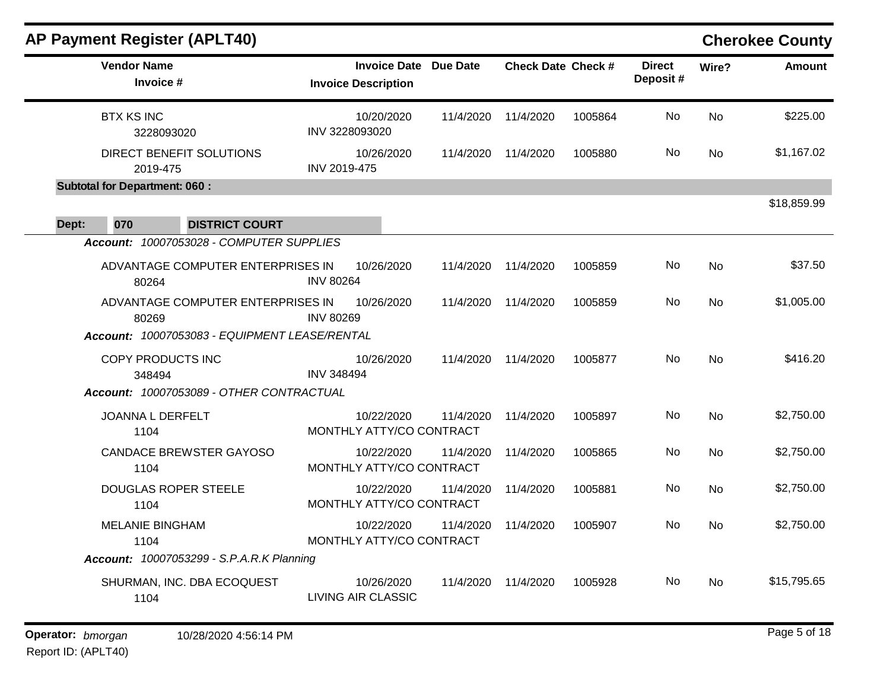|       | <b>AP Payment Register (APLT40)</b>              |                                                            |           |                           |         |                           |           | <b>Cherokee County</b> |
|-------|--------------------------------------------------|------------------------------------------------------------|-----------|---------------------------|---------|---------------------------|-----------|------------------------|
|       | <b>Vendor Name</b><br>Invoice #                  | <b>Invoice Date Due Date</b><br><b>Invoice Description</b> |           | <b>Check Date Check #</b> |         | <b>Direct</b><br>Deposit# | Wire?     | <b>Amount</b>          |
|       | <b>BTX KS INC</b><br>3228093020                  | 10/20/2020<br>INV 3228093020                               | 11/4/2020 | 11/4/2020                 | 1005864 | No                        | <b>No</b> | \$225.00               |
|       | DIRECT BENEFIT SOLUTIONS<br>2019-475             | 10/26/2020<br>INV 2019-475                                 | 11/4/2020 | 11/4/2020                 | 1005880 | No                        | <b>No</b> | \$1,167.02             |
|       | <b>Subtotal for Department: 060:</b>             |                                                            |           |                           |         |                           |           |                        |
| Dept: | 070<br><b>DISTRICT COURT</b>                     |                                                            |           |                           |         |                           |           | \$18,859.99            |
|       | Account: 10007053028 - COMPUTER SUPPLIES         |                                                            |           |                           |         |                           |           |                        |
|       | ADVANTAGE COMPUTER ENTERPRISES IN<br>80264       | 10/26/2020<br><b>INV 80264</b>                             | 11/4/2020 | 11/4/2020                 | 1005859 | No                        | <b>No</b> | \$37.50                |
|       | ADVANTAGE COMPUTER ENTERPRISES IN<br>80269       | 10/26/2020<br><b>INV 80269</b>                             | 11/4/2020 | 11/4/2020                 | 1005859 | No                        | <b>No</b> | \$1,005.00             |
|       | Account: 10007053083 - EQUIPMENT LEASE/RENTAL    |                                                            |           |                           |         |                           |           |                        |
|       | COPY PRODUCTS INC<br>348494                      | 10/26/2020<br><b>INV 348494</b>                            | 11/4/2020 | 11/4/2020                 | 1005877 | No.                       | <b>No</b> | \$416.20               |
|       | Account: 10007053089 - OTHER CONTRACTUAL         |                                                            |           |                           |         |                           |           |                        |
|       | <b>JOANNA L DERFELT</b><br>1104                  | 10/22/2020<br>MONTHLY ATTY/CO CONTRACT                     | 11/4/2020 | 11/4/2020                 | 1005897 | No.                       | No        | \$2,750.00             |
|       | <b>CANDACE BREWSTER GAYOSO</b><br>1104           | 10/22/2020<br>MONTHLY ATTY/CO CONTRACT                     | 11/4/2020 | 11/4/2020                 | 1005865 | No                        | No        | \$2,750.00             |
|       | <b>DOUGLAS ROPER STEELE</b><br>1104              | 10/22/2020<br>MONTHLY ATTY/CO CONTRACT                     | 11/4/2020 | 11/4/2020                 | 1005881 | No.                       | No        | \$2,750.00             |
|       | <b>MELANIE BINGHAM</b><br>1104                   | 10/22/2020<br>MONTHLY ATTY/CO CONTRACT                     | 11/4/2020 | 11/4/2020                 | 1005907 | No.                       | No        | \$2,750.00             |
|       | <b>Account: 10007053299 - S.P.A.R.K Planning</b> |                                                            |           |                           |         |                           |           |                        |
|       | SHURMAN, INC. DBA ECOQUEST<br>1104               | 10/26/2020<br><b>LIVING AIR CLASSIC</b>                    | 11/4/2020 | 11/4/2020                 | 1005928 | No.                       | No        | \$15,795.65            |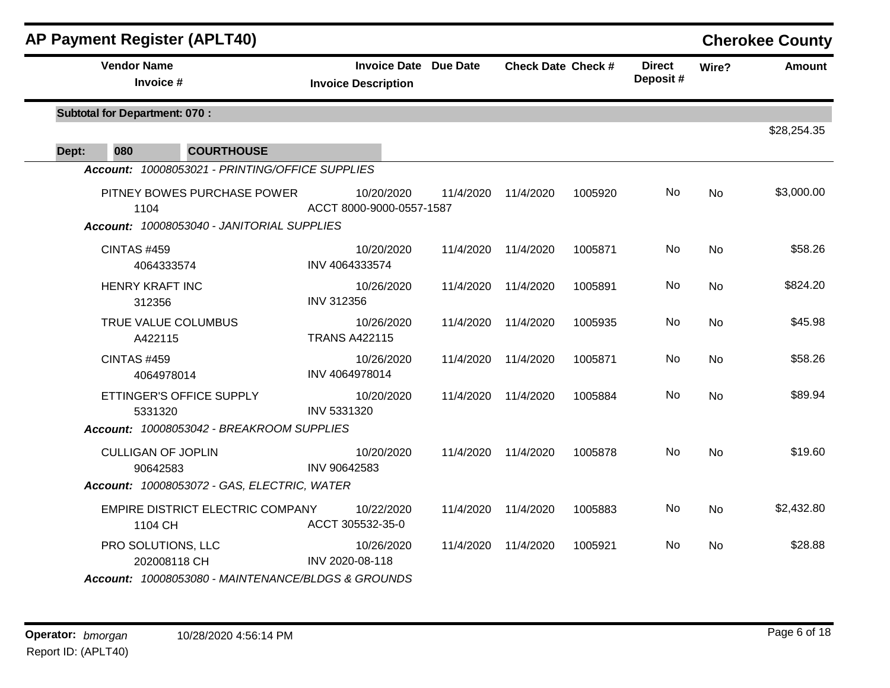| <b>AP Payment Register (APLT40)</b>             |                                                            |           |                           |         |                           |           | <b>Cherokee County</b> |
|-------------------------------------------------|------------------------------------------------------------|-----------|---------------------------|---------|---------------------------|-----------|------------------------|
| <b>Vendor Name</b><br>Invoice #                 | <b>Invoice Date Due Date</b><br><b>Invoice Description</b> |           | <b>Check Date Check #</b> |         | <b>Direct</b><br>Deposit# | Wire?     | <b>Amount</b>          |
| <b>Subtotal for Department: 070:</b>            |                                                            |           |                           |         |                           |           | \$28,254.35            |
| Dept:<br>080<br><b>COURTHOUSE</b>               |                                                            |           |                           |         |                           |           |                        |
| Account: 10008053021 - PRINTING/OFFICE SUPPLIES |                                                            |           |                           |         |                           |           |                        |
| PITNEY BOWES PURCHASE POWER<br>1104             | 10/20/2020<br>ACCT 8000-9000-0557-1587                     | 11/4/2020 | 11/4/2020                 | 1005920 | No.                       | <b>No</b> | \$3,000.00             |
| Account: 10008053040 - JANITORIAL SUPPLIES      |                                                            |           |                           |         |                           |           |                        |
| <b>CINTAS #459</b><br>4064333574                | 10/20/2020<br>INV 4064333574                               |           | 11/4/2020 11/4/2020       | 1005871 | No                        | <b>No</b> | \$58.26                |
| <b>HENRY KRAFT INC</b><br>312356                | 10/26/2020<br><b>INV 312356</b>                            | 11/4/2020 | 11/4/2020                 | 1005891 | No                        | <b>No</b> | \$824.20               |
| TRUE VALUE COLUMBUS<br>A422115                  | 10/26/2020<br><b>TRANS A422115</b>                         | 11/4/2020 | 11/4/2020                 | 1005935 | No                        | No        | \$45.98                |
| <b>CINTAS #459</b><br>4064978014                | 10/26/2020<br>INV 4064978014                               | 11/4/2020 | 11/4/2020                 | 1005871 | No                        | No        | \$58.26                |
| ETTINGER'S OFFICE SUPPLY<br>5331320             | 10/20/2020<br>INV 5331320                                  | 11/4/2020 | 11/4/2020                 | 1005884 | No                        | <b>No</b> | \$89.94                |
| Account: 10008053042 - BREAKROOM SUPPLIES       |                                                            |           |                           |         |                           |           |                        |
| <b>CULLIGAN OF JOPLIN</b><br>90642583           | 10/20/2020<br>INV 90642583                                 | 11/4/2020 | 11/4/2020                 | 1005878 | No                        | <b>No</b> | \$19.60                |
| Account: 10008053072 - GAS, ELECTRIC, WATER     |                                                            |           |                           |         |                           |           |                        |
| EMPIRE DISTRICT ELECTRIC COMPANY<br>1104 CH     | 10/22/2020<br>ACCT 305532-35-0                             | 11/4/2020 | 11/4/2020                 | 1005883 | No                        | <b>No</b> | \$2,432.80             |
| PRO SOLUTIONS, LLC<br>202008118 CH              | 10/26/2020<br>INV 2020-08-118                              | 11/4/2020 | 11/4/2020                 | 1005921 | No                        | <b>No</b> | \$28.88                |
|                                                 | Account: 10008053080 - MAINTENANCE/BLDGS & GROUNDS         |           |                           |         |                           |           |                        |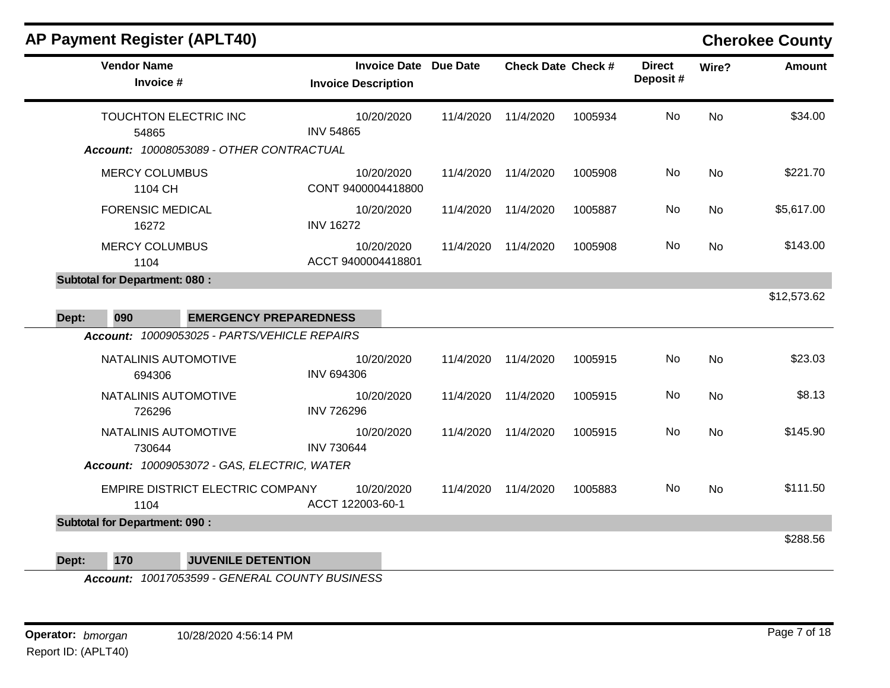## **AP Payment Register (APLT40) Cherokee County**

| <b>Vendor Name</b><br>Invoice #                 | <b>Invoice Date Due Date</b><br><b>Invoice Description</b> |           | <b>Check Date Check #</b> |         | <b>Direct</b><br>Deposit# | Wire?     | <b>Amount</b> |
|-------------------------------------------------|------------------------------------------------------------|-----------|---------------------------|---------|---------------------------|-----------|---------------|
| TOUCHTON ELECTRIC INC<br>54865                  | 10/20/2020<br><b>INV 54865</b>                             | 11/4/2020 | 11/4/2020                 | 1005934 | No                        | <b>No</b> | \$34.00       |
| Account: 10008053089 - OTHER CONTRACTUAL        |                                                            |           |                           |         |                           |           |               |
| <b>MERCY COLUMBUS</b><br>1104 CH                | 10/20/2020<br>CONT 9400004418800                           | 11/4/2020 | 11/4/2020                 | 1005908 | No                        | No        | \$221.70      |
| <b>FORENSIC MEDICAL</b><br>16272                | 10/20/2020<br><b>INV 16272</b>                             | 11/4/2020 | 11/4/2020                 | 1005887 | No                        | <b>No</b> | \$5,617.00    |
| <b>MERCY COLUMBUS</b><br>1104                   | 10/20/2020<br>ACCT 9400004418801                           | 11/4/2020 | 11/4/2020                 | 1005908 | No                        | <b>No</b> | \$143.00      |
| <b>Subtotal for Department: 080:</b>            |                                                            |           |                           |         |                           |           |               |
| 090<br><b>EMERGENCY PREPAREDNESS</b><br>Dept:   |                                                            |           |                           |         |                           |           | \$12,573.62   |
| Account: 10009053025 - PARTS/VEHICLE REPAIRS    |                                                            |           |                           |         |                           |           |               |
| NATALINIS AUTOMOTIVE<br>694306                  | 10/20/2020<br><b>INV 694306</b>                            | 11/4/2020 | 11/4/2020                 | 1005915 | No                        | <b>No</b> | \$23.03       |
| NATALINIS AUTOMOTIVE<br>726296                  | 10/20/2020<br><b>INV 726296</b>                            | 11/4/2020 | 11/4/2020                 | 1005915 | No                        | <b>No</b> | \$8.13        |
| NATALINIS AUTOMOTIVE<br>730644                  | 10/20/2020<br><b>INV 730644</b>                            | 11/4/2020 | 11/4/2020                 | 1005915 | No                        | No        | \$145.90      |
| Account: 10009053072 - GAS, ELECTRIC, WATER     |                                                            |           |                           |         |                           |           |               |
| <b>EMPIRE DISTRICT ELECTRIC COMPANY</b><br>1104 | 10/20/2020<br>ACCT 122003-60-1                             | 11/4/2020 | 11/4/2020                 | 1005883 | No                        | <b>No</b> | \$111.50      |
| <b>Subtotal for Department: 090:</b>            |                                                            |           |                           |         |                           |           |               |
| 170<br><b>JUVENILE DETENTION</b><br>Dept:       |                                                            |           |                           |         |                           |           | \$288.56      |

*Account: 10017053599 - GENERAL COUNTY BUSINESS*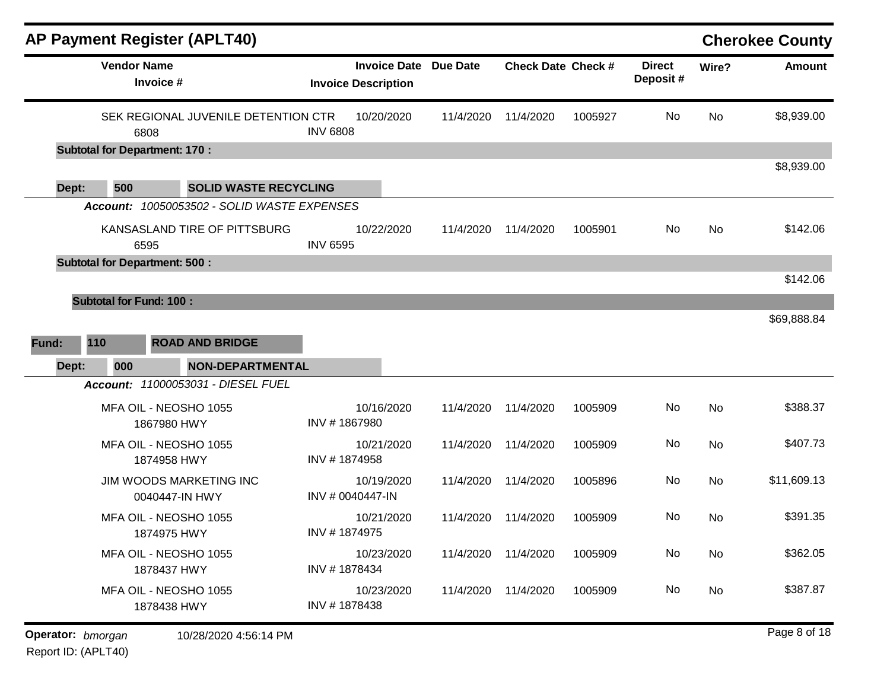|       | <b>AP Payment Register (APLT40)</b>       |                                                                             |                                |                              |                           |         |                           |           | <b>Cherokee County</b> |
|-------|-------------------------------------------|-----------------------------------------------------------------------------|--------------------------------|------------------------------|---------------------------|---------|---------------------------|-----------|------------------------|
|       | <b>Vendor Name</b><br>Invoice #           |                                                                             | <b>Invoice Description</b>     | <b>Invoice Date Due Date</b> | <b>Check Date Check #</b> |         | <b>Direct</b><br>Deposit# | Wire?     | <b>Amount</b>          |
|       | 6808                                      | SEK REGIONAL JUVENILE DETENTION CTR                                         | 10/20/2020<br><b>INV 6808</b>  | 11/4/2020                    | 11/4/2020                 | 1005927 | No                        | No        | \$8,939.00             |
|       | <b>Subtotal for Department: 170:</b>      |                                                                             |                                |                              |                           |         |                           |           |                        |
|       |                                           |                                                                             |                                |                              |                           |         |                           |           | \$8,939.00             |
| Dept: | 500                                       | <b>SOLID WASTE RECYCLING</b>                                                |                                |                              |                           |         |                           |           |                        |
|       | 6595                                      | Account: 10050053502 - SOLID WASTE EXPENSES<br>KANSASLAND TIRE OF PITTSBURG | 10/22/2020<br><b>INV 6595</b>  | 11/4/2020                    | 11/4/2020                 | 1005901 | No                        | No        | \$142.06               |
|       | <b>Subtotal for Department: 500:</b>      |                                                                             |                                |                              |                           |         |                           |           |                        |
|       |                                           |                                                                             |                                |                              |                           |         |                           |           | \$142.06               |
|       | <b>Subtotal for Fund: 100:</b>            |                                                                             |                                |                              |                           |         |                           |           |                        |
|       |                                           |                                                                             |                                |                              |                           |         |                           |           | \$69,888.84            |
| Fund: | 110                                       | <b>ROAD AND BRIDGE</b>                                                      |                                |                              |                           |         |                           |           |                        |
| Dept: | 000                                       | <b>NON-DEPARTMENTAL</b>                                                     |                                |                              |                           |         |                           |           |                        |
|       |                                           | Account: 11000053031 - DIESEL FUEL                                          |                                |                              |                           |         |                           |           |                        |
|       | MFA OIL - NEOSHO 1055<br>1867980 HWY      |                                                                             | 10/16/2020<br>INV #1867980     | 11/4/2020                    | 11/4/2020                 | 1005909 | No                        | <b>No</b> | \$388.37               |
|       | MFA OIL - NEOSHO 1055<br>1874958 HWY      |                                                                             | 10/21/2020<br>INV #1874958     | 11/4/2020                    | 11/4/2020                 | 1005909 | No                        | <b>No</b> | \$407.73               |
|       | JIM WOODS MARKETING INC<br>0040447-IN HWY |                                                                             | 10/19/2020<br>INV # 0040447-IN | 11/4/2020                    | 11/4/2020                 | 1005896 | No                        | <b>No</b> | \$11,609.13            |
|       | MFA OIL - NEOSHO 1055<br>1874975 HWY      |                                                                             | 10/21/2020<br>INV #1874975     | 11/4/2020                    | 11/4/2020                 | 1005909 | No                        | No        | \$391.35               |
|       | MFA OIL - NEOSHO 1055<br>1878437 HWY      |                                                                             | 10/23/2020<br>INV #1878434     |                              | 11/4/2020 11/4/2020       | 1005909 | No                        | No        | \$362.05               |
|       | MFA OIL - NEOSHO 1055<br>1878438 HWY      |                                                                             | 10/23/2020<br>INV #1878438     |                              | 11/4/2020 11/4/2020       | 1005909 | No                        | No        | \$387.87               |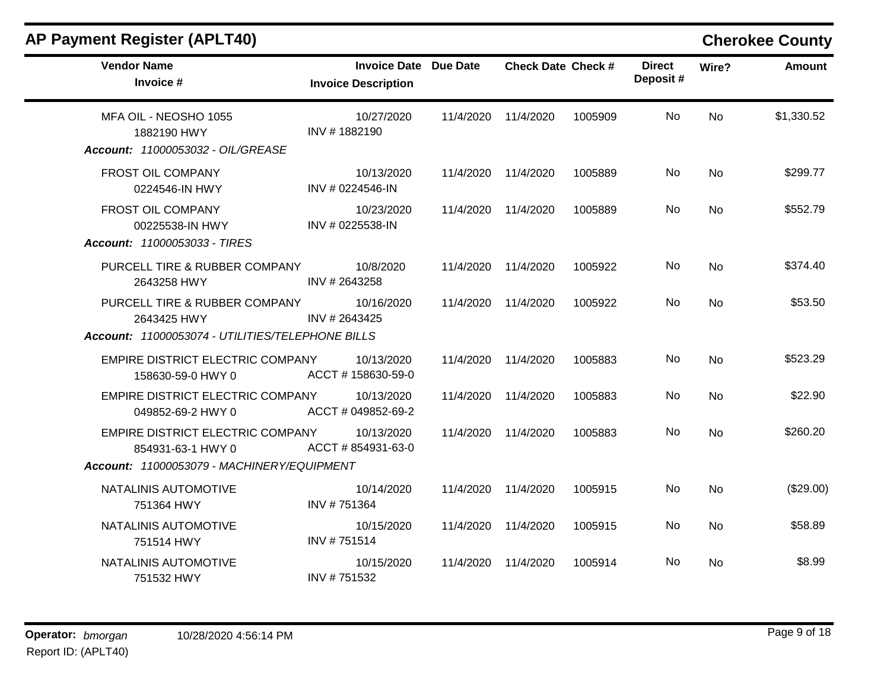## **AP Payment Register (APLT40) Cherokee County**

| <b>Vendor Name</b><br>Invoice #                                           | <b>Invoice Date Due Date</b><br><b>Invoice Description</b> |           | <b>Check Date Check #</b> |         | <b>Direct</b><br>Deposit# | Wire?     | <b>Amount</b> |
|---------------------------------------------------------------------------|------------------------------------------------------------|-----------|---------------------------|---------|---------------------------|-----------|---------------|
| MFA OIL - NEOSHO 1055<br>1882190 HWY<br>Account: 11000053032 - OIL/GREASE | 10/27/2020<br>INV #1882190                                 | 11/4/2020 | 11/4/2020                 | 1005909 | No                        | <b>No</b> | \$1,330.52    |
|                                                                           |                                                            |           |                           |         |                           |           |               |
| FROST OIL COMPANY<br>0224546-IN HWY                                       | 10/13/2020<br>INV # 0224546-IN                             | 11/4/2020 | 11/4/2020                 | 1005889 | No                        | <b>No</b> | \$299.77      |
| FROST OIL COMPANY<br>00225538-IN HWY                                      | 10/23/2020<br>INV # 0225538-IN                             |           | 11/4/2020 11/4/2020       | 1005889 | No                        | No        | \$552.79      |
| Account: 11000053033 - TIRES                                              |                                                            |           |                           |         |                           |           |               |
| PURCELL TIRE & RUBBER COMPANY<br>2643258 HWY                              | 10/8/2020<br>INV # 2643258                                 |           | 11/4/2020 11/4/2020       | 1005922 | No.                       | No        | \$374.40      |
| PURCELL TIRE & RUBBER COMPANY<br>2643425 HWY                              | 10/16/2020<br>INV # 2643425                                | 11/4/2020 | 11/4/2020                 | 1005922 | No                        | No        | \$53.50       |
| Account: 11000053074 - UTILITIES/TELEPHONE BILLS                          |                                                            |           |                           |         |                           |           |               |
| EMPIRE DISTRICT ELECTRIC COMPANY<br>158630-59-0 HWY 0                     | 10/13/2020<br>ACCT #158630-59-0                            | 11/4/2020 | 11/4/2020                 | 1005883 | No                        | No        | \$523.29      |
| EMPIRE DISTRICT ELECTRIC COMPANY<br>049852-69-2 HWY 0                     | 10/13/2020<br>ACCT # 049852-69-2                           | 11/4/2020 | 11/4/2020                 | 1005883 | No                        | No        | \$22.90       |
| EMPIRE DISTRICT ELECTRIC COMPANY<br>854931-63-1 HWY 0                     | 10/13/2020<br>ACCT # 854931-63-0                           | 11/4/2020 | 11/4/2020                 | 1005883 | No                        | No        | \$260.20      |
| Account: 11000053079 - MACHINERY/EQUIPMENT                                |                                                            |           |                           |         |                           |           |               |
| NATALINIS AUTOMOTIVE<br>751364 HWY                                        | 10/14/2020<br>INV #751364                                  | 11/4/2020 | 11/4/2020                 | 1005915 | No                        | <b>No</b> | (\$29.00)     |
| NATALINIS AUTOMOTIVE<br>751514 HWY                                        | 10/15/2020<br>INV #751514                                  | 11/4/2020 | 11/4/2020                 | 1005915 | No                        | No        | \$58.89       |
| NATALINIS AUTOMOTIVE<br>751532 HWY                                        | 10/15/2020<br>INV #751532                                  | 11/4/2020 | 11/4/2020                 | 1005914 | No                        | <b>No</b> | \$8.99        |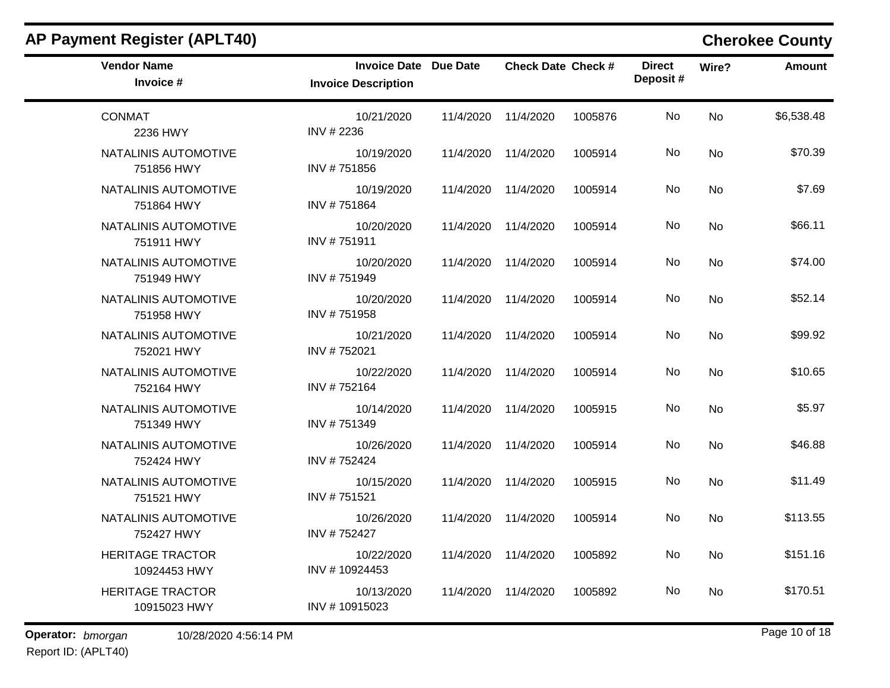| <b>Vendor Name</b><br>Invoice #         | <b>Invoice Date Due Date</b><br><b>Invoice Description</b> |                     | <b>Check Date Check #</b> |         | <b>Direct</b><br>Deposit# | Wire?     | <b>Amount</b> |
|-----------------------------------------|------------------------------------------------------------|---------------------|---------------------------|---------|---------------------------|-----------|---------------|
| <b>CONMAT</b><br>2236 HWY               | 10/21/2020<br>INV #2236                                    | 11/4/2020           | 11/4/2020                 | 1005876 | No                        | No        | \$6,538.48    |
| NATALINIS AUTOMOTIVE<br>751856 HWY      | 10/19/2020<br>INV #751856                                  | 11/4/2020 11/4/2020 |                           | 1005914 | No.                       | <b>No</b> | \$70.39       |
| NATALINIS AUTOMOTIVE<br>751864 HWY      | 10/19/2020<br>INV #751864                                  | 11/4/2020 11/4/2020 |                           | 1005914 | No                        | <b>No</b> | \$7.69        |
| NATALINIS AUTOMOTIVE<br>751911 HWY      | 10/20/2020<br>INV #751911                                  | 11/4/2020 11/4/2020 |                           | 1005914 | No.                       | <b>No</b> | \$66.11       |
| NATALINIS AUTOMOTIVE<br>751949 HWY      | 10/20/2020<br>INV #751949                                  | 11/4/2020 11/4/2020 |                           | 1005914 | No.                       | <b>No</b> | \$74.00       |
| NATALINIS AUTOMOTIVE<br>751958 HWY      | 10/20/2020<br>INV #751958                                  | 11/4/2020 11/4/2020 |                           | 1005914 | No                        | <b>No</b> | \$52.14       |
| NATALINIS AUTOMOTIVE<br>752021 HWY      | 10/21/2020<br>INV #752021                                  | 11/4/2020 11/4/2020 |                           | 1005914 | No.                       | <b>No</b> | \$99.92       |
| NATALINIS AUTOMOTIVE<br>752164 HWY      | 10/22/2020<br>INV #752164                                  | 11/4/2020 11/4/2020 |                           | 1005914 | No.                       | <b>No</b> | \$10.65       |
| NATALINIS AUTOMOTIVE<br>751349 HWY      | 10/14/2020<br>INV #751349                                  | 11/4/2020           | 11/4/2020                 | 1005915 | No                        | <b>No</b> | \$5.97        |
| NATALINIS AUTOMOTIVE<br>752424 HWY      | 10/26/2020<br>INV #752424                                  | 11/4/2020 11/4/2020 |                           | 1005914 | No.                       | <b>No</b> | \$46.88       |
| NATALINIS AUTOMOTIVE<br>751521 HWY      | 10/15/2020<br>INV #751521                                  | 11/4/2020           | 11/4/2020                 | 1005915 | No.                       | <b>No</b> | \$11.49       |
| NATALINIS AUTOMOTIVE<br>752427 HWY      | 10/26/2020<br>INV #752427                                  | 11/4/2020 11/4/2020 |                           | 1005914 | No.                       | <b>No</b> | \$113.55      |
| <b>HERITAGE TRACTOR</b><br>10924453 HWY | 10/22/2020<br>INV #10924453                                | 11/4/2020 11/4/2020 |                           | 1005892 | No                        | <b>No</b> | \$151.16      |
| <b>HERITAGE TRACTOR</b><br>10915023 HWY | 10/13/2020<br>INV #10915023                                | 11/4/2020 11/4/2020 |                           | 1005892 | No                        | <b>No</b> | \$170.51      |

## **AP Payment Register (APLT40) Cherokee County**

Report ID: (APLT40)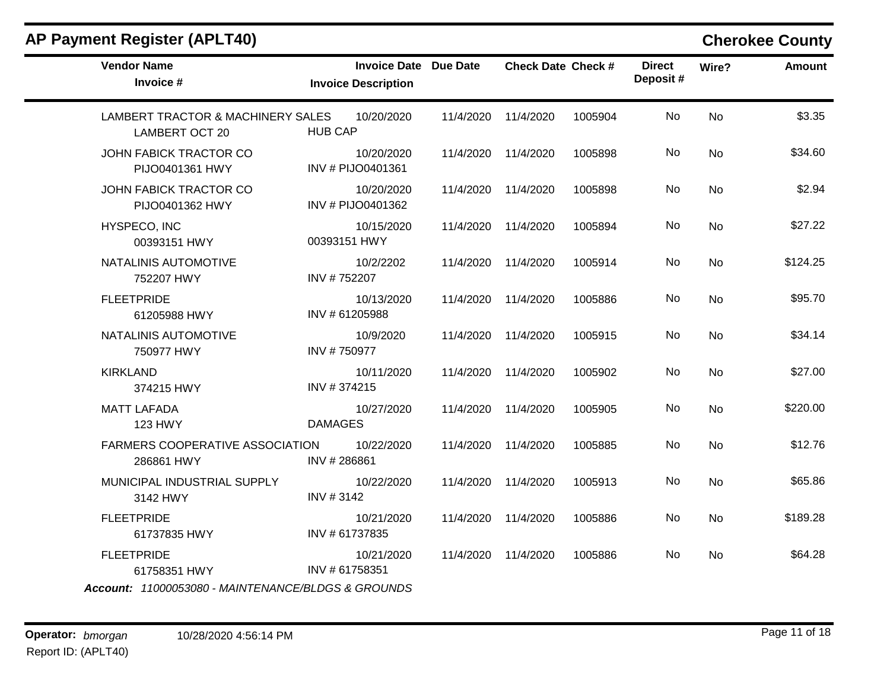| <b>AP Payment Register (APLT40)</b>                        |                            |                              |           |                           |         |                           |           | <b>Cherokee County</b> |
|------------------------------------------------------------|----------------------------|------------------------------|-----------|---------------------------|---------|---------------------------|-----------|------------------------|
| <b>Vendor Name</b><br>Invoice #                            | <b>Invoice Description</b> | <b>Invoice Date Due Date</b> |           | <b>Check Date Check #</b> |         | <b>Direct</b><br>Deposit# | Wire?     | <b>Amount</b>          |
| LAMBERT TRACTOR & MACHINERY SALES<br><b>LAMBERT OCT 20</b> | <b>HUB CAP</b>             | 10/20/2020                   | 11/4/2020 | 11/4/2020                 | 1005904 | No.                       | <b>No</b> | \$3.35                 |
| JOHN FABICK TRACTOR CO<br>PIJO0401361 HWY                  | INV # PIJO0401361          | 10/20/2020                   | 11/4/2020 | 11/4/2020                 | 1005898 | No.                       | <b>No</b> | \$34.60                |
| JOHN FABICK TRACTOR CO<br>PIJO0401362 HWY                  | INV # PIJO0401362          | 10/20/2020                   | 11/4/2020 | 11/4/2020                 | 1005898 | No                        | <b>No</b> | \$2.94                 |
| HYSPECO, INC<br>00393151 HWY                               | 00393151 HWY               | 10/15/2020                   | 11/4/2020 | 11/4/2020                 | 1005894 | No.                       | <b>No</b> | \$27.22                |
| NATALINIS AUTOMOTIVE<br>752207 HWY                         | INV #752207                | 10/2/2202                    | 11/4/2020 | 11/4/2020                 | 1005914 | <b>No</b>                 | <b>No</b> | \$124.25               |
| <b>FLEETPRIDE</b><br>61205988 HWY                          | INV # 61205988             | 10/13/2020                   | 11/4/2020 | 11/4/2020                 | 1005886 | No                        | <b>No</b> | \$95.70                |
| NATALINIS AUTOMOTIVE<br>750977 HWY                         | INV #750977                | 10/9/2020                    | 11/4/2020 | 11/4/2020                 | 1005915 | No                        | No        | \$34.14                |
| <b>KIRKLAND</b><br>374215 HWY                              | INV #374215                | 10/11/2020                   |           | 11/4/2020 11/4/2020       | 1005902 | No                        | <b>No</b> | \$27.00                |
| <b>MATT LAFADA</b><br>123 HWY                              | <b>DAMAGES</b>             | 10/27/2020                   | 11/4/2020 | 11/4/2020                 | 1005905 | No                        | No        | \$220.00               |
| <b>FARMERS COOPERATIVE ASSOCIATION</b><br>286861 HWY       | INV #286861                | 10/22/2020                   | 11/4/2020 | 11/4/2020                 | 1005885 | No                        | <b>No</b> | \$12.76                |
| MUNICIPAL INDUSTRIAL SUPPLY<br>3142 HWY                    | INV #3142                  | 10/22/2020                   |           | 11/4/2020 11/4/2020       | 1005913 | No.                       | No        | \$65.86                |
| <b>FLEETPRIDE</b><br>61737835 HWY                          | INV # 61737835             | 10/21/2020                   | 11/4/2020 | 11/4/2020                 | 1005886 | No                        | <b>No</b> | \$189.28               |
| <b>FLEETPRIDE</b><br>61758351 HWY                          | INV # 61758351             | 10/21/2020                   |           | 11/4/2020 11/4/2020       | 1005886 | No.                       | No.       | \$64.28                |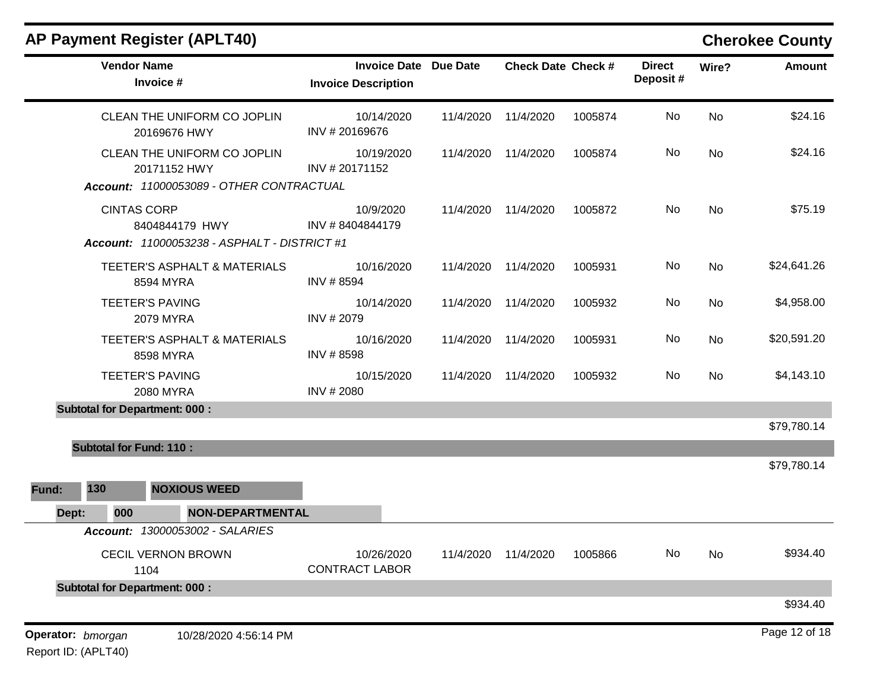|  |  |  | AP Payment Register (APLT40) |
|--|--|--|------------------------------|
|--|--|--|------------------------------|

# **Cherokee County**

| <b>Vendor Name</b><br>Invoice #                                                      | Invoice Date Due Date<br><b>Invoice Description</b> |           | <b>Check Date Check #</b> |         | <b>Direct</b><br>Deposit# | Wire?     | <b>Amount</b> |
|--------------------------------------------------------------------------------------|-----------------------------------------------------|-----------|---------------------------|---------|---------------------------|-----------|---------------|
| CLEAN THE UNIFORM CO JOPLIN<br>20169676 HWY                                          | 10/14/2020<br>INV #20169676                         | 11/4/2020 | 11/4/2020                 | 1005874 | No                        | <b>No</b> | \$24.16       |
| CLEAN THE UNIFORM CO JOPLIN<br>20171152 HWY                                          | 10/19/2020<br>INV #20171152                         | 11/4/2020 | 11/4/2020                 | 1005874 | No                        | <b>No</b> | \$24.16       |
| Account: 11000053089 - OTHER CONTRACTUAL                                             |                                                     |           |                           |         |                           |           |               |
| <b>CINTAS CORP</b><br>8404844179 HWY<br>Account: 11000053238 - ASPHALT - DISTRICT #1 | 10/9/2020<br>INV #8404844179                        |           | 11/4/2020 11/4/2020       | 1005872 | No                        | <b>No</b> | \$75.19       |
| TEETER'S ASPHALT & MATERIALS<br>8594 MYRA                                            | 10/16/2020<br>INV #8594                             | 11/4/2020 | 11/4/2020                 | 1005931 | No.                       | No        | \$24,641.26   |
| <b>TEETER'S PAVING</b><br>2079 MYRA                                                  | 10/14/2020<br>INV # 2079                            | 11/4/2020 | 11/4/2020                 | 1005932 | No.                       | No        | \$4,958.00    |
| TEETER'S ASPHALT & MATERIALS<br>8598 MYRA                                            | 10/16/2020<br>INV #8598                             | 11/4/2020 | 11/4/2020                 | 1005931 | No                        | No        | \$20,591.20   |
| <b>TEETER'S PAVING</b><br><b>2080 MYRA</b>                                           | 10/15/2020<br><b>INV #2080</b>                      | 11/4/2020 | 11/4/2020                 | 1005932 | No                        | No        | \$4,143.10    |
| <b>Subtotal for Department: 000:</b>                                                 |                                                     |           |                           |         |                           |           |               |
|                                                                                      |                                                     |           |                           |         |                           |           | \$79,780.14   |
| <b>Subtotal for Fund: 110:</b>                                                       |                                                     |           |                           |         |                           |           |               |
| 130<br><b>NOXIOUS WEED</b><br>Fund:                                                  |                                                     |           |                           |         |                           |           | \$79,780.14   |
| Dept:<br><b>NON-DEPARTMENTAL</b><br>000                                              |                                                     |           |                           |         |                           |           |               |
| Account: 13000053002 - SALARIES                                                      |                                                     |           |                           |         |                           |           |               |
| <b>CECIL VERNON BROWN</b><br>1104                                                    | 10/26/2020<br><b>CONTRACT LABOR</b>                 | 11/4/2020 | 11/4/2020                 | 1005866 | No                        | No        | \$934.40      |
| <b>Subtotal for Department: 000:</b>                                                 |                                                     |           |                           |         |                           |           |               |
|                                                                                      |                                                     |           |                           |         |                           |           | \$934.40      |
| Operator: bmorgan<br>10/28/2020 4:56:14 PM                                           |                                                     |           |                           |         |                           |           | Page 12 of 18 |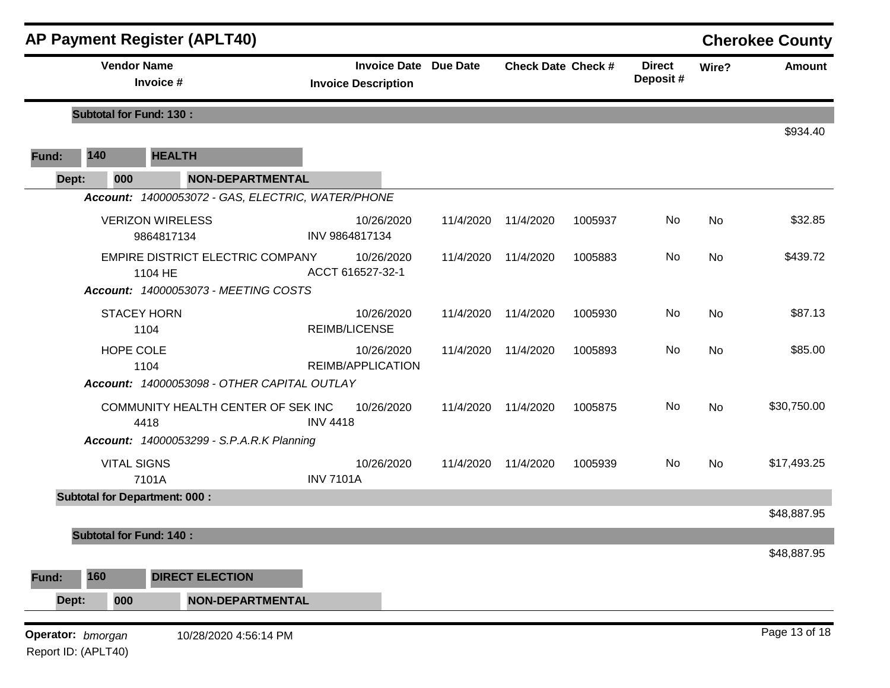|       |                                          | <b>AP Payment Register (APLT40)</b>                                          |                                                            |           |                           |         |                           |           | <b>Cherokee County</b> |
|-------|------------------------------------------|------------------------------------------------------------------------------|------------------------------------------------------------|-----------|---------------------------|---------|---------------------------|-----------|------------------------|
|       | <b>Vendor Name</b><br>Invoice #          |                                                                              | <b>Invoice Date Due Date</b><br><b>Invoice Description</b> |           | <b>Check Date Check #</b> |         | <b>Direct</b><br>Deposit# | Wire?     | Amount                 |
|       | <b>Subtotal for Fund: 130:</b>           |                                                                              |                                                            |           |                           |         |                           |           |                        |
|       |                                          |                                                                              |                                                            |           |                           |         |                           |           | \$934.40               |
| Fund: | 140                                      | <b>HEALTH</b>                                                                |                                                            |           |                           |         |                           |           |                        |
| Dept: | 000                                      | <b>NON-DEPARTMENTAL</b><br>Account: 14000053072 - GAS, ELECTRIC, WATER/PHONE |                                                            |           |                           |         |                           |           |                        |
|       |                                          |                                                                              |                                                            |           |                           |         |                           |           |                        |
|       |                                          | <b>VERIZON WIRELESS</b><br>9864817134                                        | 10/26/2020<br>INV 9864817134                               | 11/4/2020 | 11/4/2020                 | 1005937 | No                        | No        | \$32.85                |
|       |                                          | EMPIRE DISTRICT ELECTRIC COMPANY<br>1104 HE                                  | 10/26/2020<br>ACCT 616527-32-1                             | 11/4/2020 | 11/4/2020                 | 1005883 | No                        | <b>No</b> | \$439.72               |
|       |                                          | Account: 14000053073 - MEETING COSTS                                         |                                                            |           |                           |         |                           |           |                        |
|       |                                          | <b>STACEY HORN</b><br>1104                                                   | 10/26/2020<br><b>REIMB/LICENSE</b>                         | 11/4/2020 | 11/4/2020                 | 1005930 | No                        | No        | \$87.13                |
|       | HOPE COLE                                | 1104                                                                         | 10/26/2020<br><b>REIMB/APPLICATION</b>                     | 11/4/2020 | 11/4/2020                 | 1005893 | No                        | <b>No</b> | \$85.00                |
|       |                                          | Account: 14000053098 - OTHER CAPITAL OUTLAY                                  |                                                            |           |                           |         |                           |           |                        |
|       |                                          | COMMUNITY HEALTH CENTER OF SEK INC<br>4418                                   | 10/26/2020<br><b>INV 4418</b>                              | 11/4/2020 | 11/4/2020                 | 1005875 | No                        | <b>No</b> | \$30,750.00            |
|       |                                          | <b>Account: 14000053299 - S.P.A.R.K Planning</b>                             |                                                            |           |                           |         |                           |           |                        |
|       | <b>VITAL SIGNS</b>                       | 7101A                                                                        | 10/26/2020<br><b>INV 7101A</b>                             | 11/4/2020 | 11/4/2020                 | 1005939 | No                        | <b>No</b> | \$17,493.25            |
|       |                                          | <b>Subtotal for Department: 000:</b>                                         |                                                            |           |                           |         |                           |           |                        |
|       |                                          |                                                                              |                                                            |           |                           |         |                           |           | \$48,887.95            |
|       | <b>Subtotal for Fund: 140:</b>           |                                                                              |                                                            |           |                           |         |                           |           |                        |
|       |                                          |                                                                              |                                                            |           |                           |         |                           |           | \$48,887.95            |
| Fund: | 160                                      | <b>DIRECT ELECTION</b>                                                       |                                                            |           |                           |         |                           |           |                        |
| Dept: | 000                                      | <b>NON-DEPARTMENTAL</b>                                                      |                                                            |           |                           |         |                           |           |                        |
|       |                                          |                                                                              |                                                            |           |                           |         |                           |           |                        |
|       | Operator: bmorgan<br>Report ID: (APLT40) | 10/28/2020 4:56:14 PM                                                        |                                                            |           |                           |         |                           |           | Page 13 of 18          |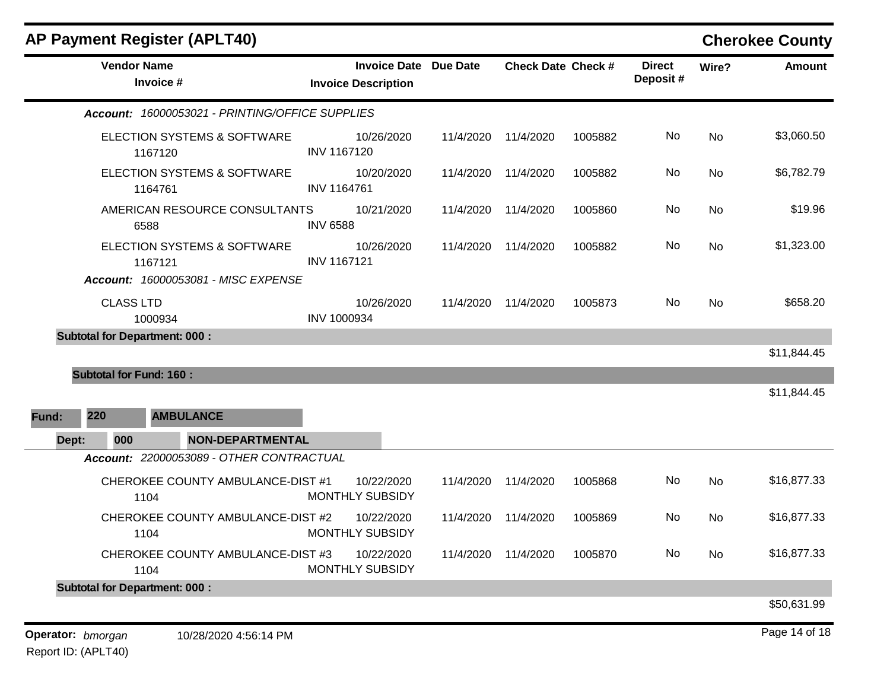| <b>AP Payment Register (APLT40)</b>                                           |                                                            |           |                           |         |                           |           | <b>Cherokee County</b> |
|-------------------------------------------------------------------------------|------------------------------------------------------------|-----------|---------------------------|---------|---------------------------|-----------|------------------------|
| <b>Vendor Name</b><br>Invoice #                                               | <b>Invoice Date Due Date</b><br><b>Invoice Description</b> |           | <b>Check Date Check #</b> |         | <b>Direct</b><br>Deposit# | Wire?     | <b>Amount</b>          |
| Account: 16000053021 - PRINTING/OFFICE SUPPLIES                               |                                                            |           |                           |         |                           |           |                        |
| ELECTION SYSTEMS & SOFTWARE<br>1167120                                        | 10/26/2020<br><b>INV 1167120</b>                           | 11/4/2020 | 11/4/2020                 | 1005882 | No                        | No        | \$3,060.50             |
| ELECTION SYSTEMS & SOFTWARE<br>1164761                                        | 10/20/2020<br><b>INV 1164761</b>                           | 11/4/2020 | 11/4/2020                 | 1005882 | No                        | <b>No</b> | \$6,782.79             |
| AMERICAN RESOURCE CONSULTANTS<br>6588                                         | 10/21/2020<br><b>INV 6588</b>                              | 11/4/2020 | 11/4/2020                 | 1005860 | No                        | <b>No</b> | \$19.96                |
| ELECTION SYSTEMS & SOFTWARE<br>1167121<br>Account: 16000053081 - MISC EXPENSE | 10/26/2020<br><b>INV 1167121</b>                           | 11/4/2020 | 11/4/2020                 | 1005882 | No                        | No.       | \$1,323.00             |
| <b>CLASS LTD</b><br>1000934                                                   | 10/26/2020<br>INV 1000934                                  | 11/4/2020 | 11/4/2020                 | 1005873 | No                        | No        | \$658.20               |
| <b>Subtotal for Department: 000:</b>                                          |                                                            |           |                           |         |                           |           |                        |
|                                                                               |                                                            |           |                           |         |                           |           | \$11,844.45            |
| <b>Subtotal for Fund: 160:</b>                                                |                                                            |           |                           |         |                           |           |                        |
|                                                                               |                                                            |           |                           |         |                           |           | \$11,844.45            |
| 220<br><b>AMBULANCE</b><br>Fund:                                              |                                                            |           |                           |         |                           |           |                        |
| <b>NON-DEPARTMENTAL</b><br>Dept:<br>000                                       |                                                            |           |                           |         |                           |           |                        |
| Account: 22000053089 - OTHER CONTRACTUAL                                      |                                                            |           |                           |         |                           |           |                        |
| CHEROKEE COUNTY AMBULANCE-DIST #1<br>1104                                     | 10/22/2020<br>MONTHLY SUBSIDY                              | 11/4/2020 | 11/4/2020                 | 1005868 | No                        | No        | \$16,877.33            |
| CHEROKEE COUNTY AMBULANCE-DIST #2<br>1104                                     | 10/22/2020<br>MONTHLY SUBSIDY                              | 11/4/2020 | 11/4/2020                 | 1005869 | No                        | No        | \$16,877.33            |
| CHEROKEE COUNTY AMBULANCE-DIST #3<br>1104                                     | 10/22/2020<br>MONTHLY SUBSIDY                              |           | 11/4/2020 11/4/2020       | 1005870 | No                        | No        | \$16,877.33            |
| <b>Subtotal for Department: 000:</b>                                          |                                                            |           |                           |         |                           |           |                        |
|                                                                               |                                                            |           |                           |         |                           |           | \$50,631.99            |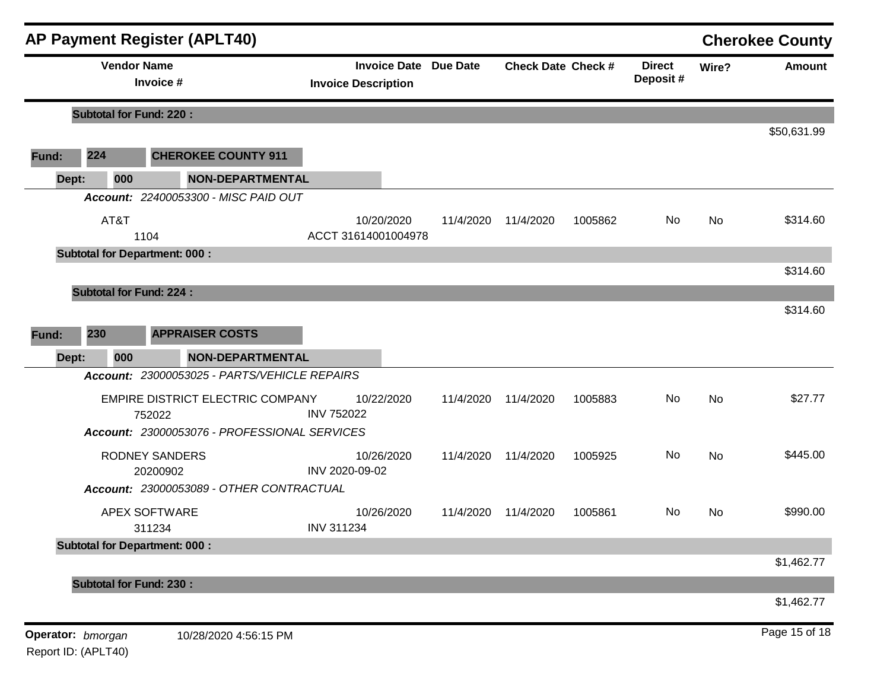| <b>AP Payment Register (APLT40)</b> |                                |                                              |                   |                                                            |           |                           |         |                           |       | <b>Cherokee County</b> |
|-------------------------------------|--------------------------------|----------------------------------------------|-------------------|------------------------------------------------------------|-----------|---------------------------|---------|---------------------------|-------|------------------------|
|                                     |                                | <b>Vendor Name</b><br>Invoice #              |                   | <b>Invoice Date Due Date</b><br><b>Invoice Description</b> |           | <b>Check Date Check #</b> |         | <b>Direct</b><br>Deposit# | Wire? | <b>Amount</b>          |
|                                     | <b>Subtotal for Fund: 220:</b> |                                              |                   |                                                            |           |                           |         |                           |       |                        |
|                                     |                                |                                              |                   |                                                            |           |                           |         |                           |       | \$50,631.99            |
| Fund:                               | 224                            | <b>CHEROKEE COUNTY 911</b>                   |                   |                                                            |           |                           |         |                           |       |                        |
| Dept:                               | 000                            | <b>NON-DEPARTMENTAL</b>                      |                   |                                                            |           |                           |         |                           |       |                        |
|                                     |                                | Account: 22400053300 - MISC PAID OUT         |                   |                                                            |           |                           |         |                           |       |                        |
|                                     | AT&T                           | 1104                                         |                   | 10/20/2020<br>ACCT 31614001004978                          | 11/4/2020 | 11/4/2020                 | 1005862 | No                        | No    | \$314.60               |
|                                     |                                | <b>Subtotal for Department: 000:</b>         |                   |                                                            |           |                           |         |                           |       | \$314.60               |
|                                     | <b>Subtotal for Fund: 224:</b> |                                              |                   |                                                            |           |                           |         |                           |       |                        |
|                                     |                                |                                              |                   |                                                            |           |                           |         |                           |       | \$314.60               |
| Fund:                               | 230                            | <b>APPRAISER COSTS</b>                       |                   |                                                            |           |                           |         |                           |       |                        |
| Dept:                               | 000                            | <b>NON-DEPARTMENTAL</b>                      |                   |                                                            |           |                           |         |                           |       |                        |
|                                     |                                | Account: 23000053025 - PARTS/VEHICLE REPAIRS |                   |                                                            |           |                           |         |                           |       |                        |
|                                     |                                | EMPIRE DISTRICT ELECTRIC COMPANY<br>752022   | <b>INV 752022</b> | 10/22/2020                                                 | 11/4/2020 | 11/4/2020                 | 1005883 | No                        | No    | \$27.77                |
|                                     |                                | Account: 23000053076 - PROFESSIONAL SERVICES |                   |                                                            |           |                           |         |                           |       |                        |
|                                     |                                | <b>RODNEY SANDERS</b><br>20200902            | INV 2020-09-02    | 10/26/2020                                                 | 11/4/2020 | 11/4/2020                 | 1005925 | No                        | No    | \$445.00               |
|                                     |                                | Account: 23000053089 - OTHER CONTRACTUAL     |                   |                                                            |           |                           |         |                           |       |                        |
|                                     |                                | APEX SOFTWARE<br>311234                      | INV 311234        | 10/26/2020                                                 | 11/4/2020 | 11/4/2020                 | 1005861 | No                        | No    | \$990.00               |
|                                     |                                | <b>Subtotal for Department: 000:</b>         |                   |                                                            |           |                           |         |                           |       |                        |
|                                     |                                |                                              |                   |                                                            |           |                           |         |                           |       | \$1,462.77             |
|                                     | <b>Subtotal for Fund: 230:</b> |                                              |                   |                                                            |           |                           |         |                           |       | \$1,462.77             |
|                                     |                                |                                              |                   |                                                            |           |                           |         |                           |       |                        |
|                                     | Operator: bmorgan              | 10/28/2020 4:56:15 PM                        |                   |                                                            |           |                           |         |                           |       | Page 15 of 18          |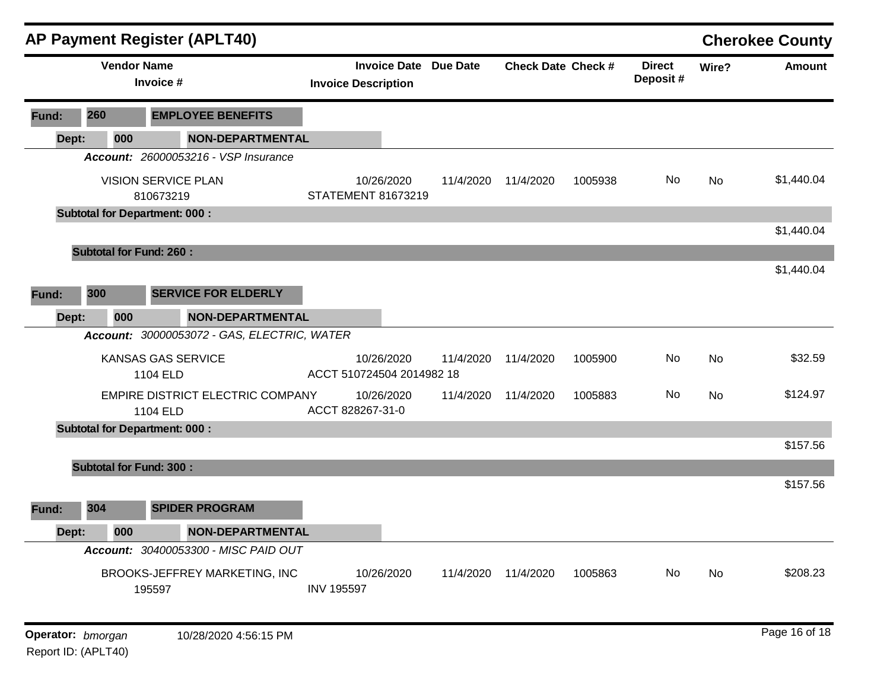|                                 |       |     | AP Payment Register (APLT40)                 |                           |                              |                           |           |                           |       |               | <b>Cherokee County</b> |
|---------------------------------|-------|-----|----------------------------------------------|---------------------------|------------------------------|---------------------------|-----------|---------------------------|-------|---------------|------------------------|
| <b>Vendor Name</b><br>Invoice # |       |     | <b>Invoice Description</b>                   |                           | <b>Invoice Date Due Date</b> | <b>Check Date Check #</b> |           | <b>Direct</b><br>Deposit# | Wire? | <b>Amount</b> |                        |
| Fund:                           | 260   |     | <b>EMPLOYEE BENEFITS</b>                     |                           |                              |                           |           |                           |       |               |                        |
|                                 | Dept: | 000 | <b>NON-DEPARTMENTAL</b>                      |                           |                              |                           |           |                           |       |               |                        |
|                                 |       |     | <b>Account: 26000053216 - VSP Insurance</b>  |                           |                              |                           |           |                           |       |               |                        |
|                                 |       |     | <b>VISION SERVICE PLAN</b><br>810673219      | <b>STATEMENT 81673219</b> | 10/26/2020                   | 11/4/2020                 | 11/4/2020 | 1005938                   | No    | <b>No</b>     | \$1,440.04             |
|                                 |       |     | <b>Subtotal for Department: 000:</b>         |                           |                              |                           |           |                           |       |               |                        |
|                                 |       |     |                                              |                           |                              |                           |           |                           |       |               | \$1,440.04             |
|                                 |       |     | <b>Subtotal for Fund: 260:</b>               |                           |                              |                           |           |                           |       |               |                        |
|                                 |       |     |                                              |                           |                              |                           |           |                           |       |               | \$1,440.04             |
| Fund:                           | 300   |     | <b>SERVICE FOR ELDERLY</b>                   |                           |                              |                           |           |                           |       |               |                        |
|                                 | Dept: | 000 | <b>NON-DEPARTMENTAL</b>                      |                           |                              |                           |           |                           |       |               |                        |
|                                 |       |     | Account: 30000053072 - GAS, ELECTRIC, WATER  |                           |                              |                           |           |                           |       |               |                        |
|                                 |       |     | KANSAS GAS SERVICE<br>1104 ELD               | ACCT 510724504 2014982 18 | 10/26/2020                   | 11/4/2020                 | 11/4/2020 | 1005900                   | No    | <b>No</b>     | \$32.59                |
|                                 |       |     | EMPIRE DISTRICT ELECTRIC COMPANY<br>1104 ELD | ACCT 828267-31-0          | 10/26/2020                   | 11/4/2020                 | 11/4/2020 | 1005883                   | No    | <b>No</b>     | \$124.97               |
|                                 |       |     | <b>Subtotal for Department: 000:</b>         |                           |                              |                           |           |                           |       |               |                        |
|                                 |       |     |                                              |                           |                              |                           |           |                           |       |               | \$157.56               |
|                                 |       |     | <b>Subtotal for Fund: 300:</b>               |                           |                              |                           |           |                           |       |               |                        |
|                                 |       |     |                                              |                           |                              |                           |           |                           |       |               | \$157.56               |
| Fund:                           | 304   |     | <b>SPIDER PROGRAM</b>                        |                           |                              |                           |           |                           |       |               |                        |
|                                 | Dept: | 000 | <b>NON-DEPARTMENTAL</b>                      |                           |                              |                           |           |                           |       |               |                        |
|                                 |       |     | Account: 30400053300 - MISC PAID OUT         |                           |                              |                           |           |                           |       |               |                        |
|                                 |       |     | BROOKS-JEFFREY MARKETING, INC<br>195597      | <b>INV 195597</b>         | 10/26/2020                   | 11/4/2020                 | 11/4/2020 | 1005863                   | No.   | No            | \$208.23               |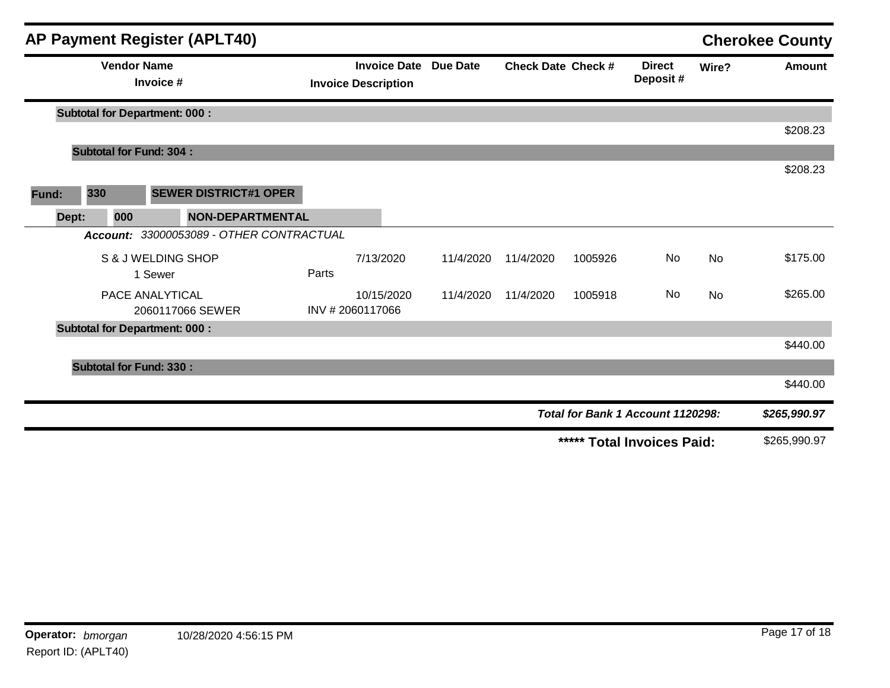|                            |                                 | <b>AP Payment Register (APLT40)</b>      |       |                                                     |           |                           |         |                                   |       | <b>Cherokee County</b> |
|----------------------------|---------------------------------|------------------------------------------|-------|-----------------------------------------------------|-----------|---------------------------|---------|-----------------------------------|-------|------------------------|
|                            | <b>Vendor Name</b><br>Invoice # |                                          |       | Invoice Date Due Date<br><b>Invoice Description</b> |           | <b>Check Date Check #</b> |         | <b>Direct</b><br>Deposit#         | Wire? | <b>Amount</b>          |
|                            |                                 | <b>Subtotal for Department: 000:</b>     |       |                                                     |           |                           |         |                                   |       |                        |
|                            |                                 |                                          |       |                                                     |           |                           |         |                                   |       | \$208.23               |
|                            | <b>Subtotal for Fund: 304:</b>  |                                          |       |                                                     |           |                           |         |                                   |       |                        |
|                            |                                 |                                          |       |                                                     |           |                           |         |                                   |       | \$208.23               |
| 330<br>Fund:               |                                 | <b>SEWER DISTRICT#1 OPER</b>             |       |                                                     |           |                           |         |                                   |       |                        |
| Dept:                      | 000                             | <b>NON-DEPARTMENTAL</b>                  |       |                                                     |           |                           |         |                                   |       |                        |
|                            |                                 | Account: 33000053089 - OTHER CONTRACTUAL |       |                                                     |           |                           |         |                                   |       |                        |
|                            |                                 | S & J WELDING SHOP                       |       | 7/13/2020                                           | 11/4/2020 | 11/4/2020                 | 1005926 | No                                | No    | \$175.00               |
|                            |                                 | 1 Sewer                                  | Parts |                                                     |           |                           |         |                                   |       |                        |
|                            |                                 | <b>PACE ANALYTICAL</b>                   |       | 10/15/2020                                          | 11/4/2020 | 11/4/2020                 | 1005918 | No                                | No    | \$265.00               |
|                            |                                 | 2060117066 SEWER                         |       | INV #2060117066                                     |           |                           |         |                                   |       |                        |
|                            |                                 | <b>Subtotal for Department: 000:</b>     |       |                                                     |           |                           |         |                                   |       |                        |
|                            |                                 |                                          |       |                                                     |           |                           |         |                                   |       | \$440.00               |
|                            | <b>Subtotal for Fund: 330:</b>  |                                          |       |                                                     |           |                           |         |                                   |       |                        |
|                            |                                 |                                          |       |                                                     |           |                           |         |                                   |       | \$440.00               |
|                            |                                 |                                          |       |                                                     |           |                           |         | Total for Bank 1 Account 1120298: |       | \$265,990.97           |
| ***** Total Invoices Paid: |                                 |                                          |       |                                                     |           |                           |         | \$265,990.97                      |       |                        |